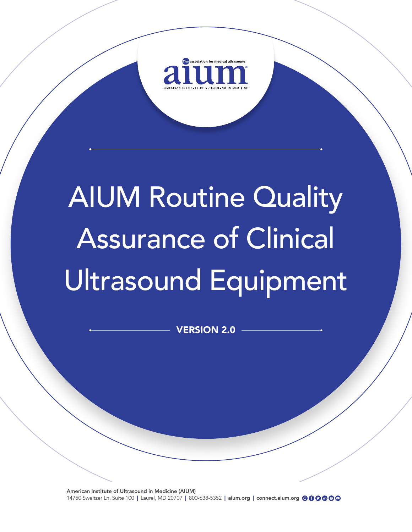

# AIUM Routine Quality Assurance of Clinical Ultrasound Equipment

VERSION 2.0

American Institute of Ultrasound in Medicine (AIUM) 14750 Sweitzer Ln, Suite 100 | Laurel, MD 20707 | 800-638-5352 | aium.org | connect.aium.org @ @ @ @ @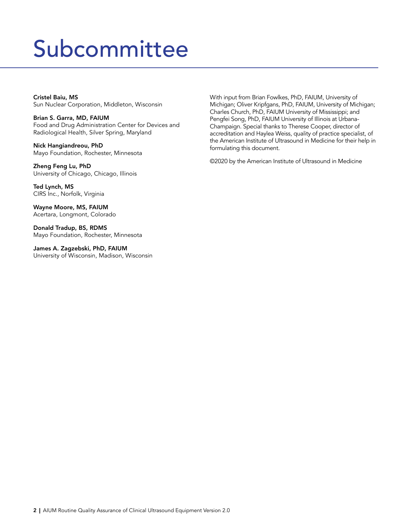### Subcommittee

Cristel Baiu, MS Sun Nuclear Corporation, Middleton, Wisconsin

Brian S. Garra, MD, FAIUM Food and Drug Administration Center for Devices and Radiological Health, Silver Spring, Maryland

Nick Hangiandreou, PhD Mayo Foundation, Rochester, Minnesota

Zheng Feng Lu, PhD University of Chicago, Chicago, Illinois

Ted Lynch, MS CIRS Inc., Norfolk, Virginia

Wayne Moore, MS, FAIUM Acertara, Longmont, Colorado

Donald Tradup, BS, RDMS Mayo Foundation, Rochester, Minnesota

James A. Zagzebski, PhD, FAIUM University of Wisconsin, Madison, Wisconsin With input from Brian Fowlkes, PhD, FAIUM, University of Michigan; Oliver Kripfgans, PhD, FAIUM, University of Michigan; Charles Church, PhD, FAIUM University of Mississippi; and Pengfei Song, PhD, FAIUM University of Illinois at Urbana-Champaign. Special thanks to Therese Cooper, director of accreditation and Haylea Weiss, quality of practice specialist, of the American Institute of Ultrasound in Medicine for their help in formulating this document.

©2020 by the American Institute of Ultrasound in Medicine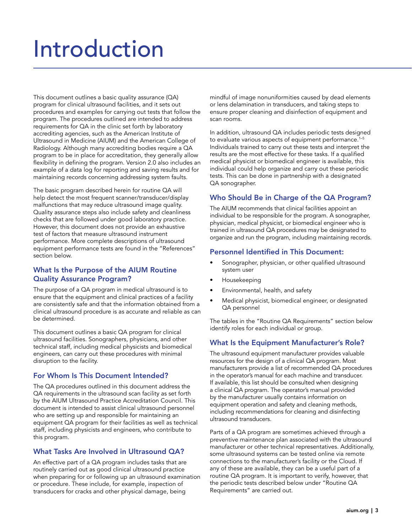### Introduction

This document outlines a basic quality assurance (QA) program for clinical ultrasound facilities, and it sets out procedures and examples for carrying out tests that follow the program. The procedures outlined are intended to address requirements for QA in the clinic set forth by laboratory accrediting agencies, such as the American Institute of Ultrasound in Medicine (AIUM) and the American College of Radiology. Although many accrediting bodies require a QA program to be in place for accreditation, they generally allow flexibility in defining the program. Version 2.0 also includes an example of a data log for reporting and saving results and for maintaining records concerning addressing system faults.

The basic program described herein for routine QA will help detect the most frequent scanner/transducer/display malfunctions that may reduce ultrasound image quality. Quality assurance steps also include safety and cleanliness checks that are followed under good laboratory practice. However, this document does not provide an exhaustive test of factors that measure ultrasound instrument performance. More complete descriptions of ultrasound equipment performance tests are found in the "References" section below.

#### What Is the Purpose of the AIUM Routine Quality Assurance Program?

The purpose of a QA program in medical ultrasound is to ensure that the equipment and clinical practices of a facility are consistently safe and that the information obtained from a clinical ultrasound procedure is as accurate and reliable as can be determined.

This document outlines a basic QA program for clinical ultrasound facilities. Sonographers, physicians, and other technical staff, including medical physicists and biomedical engineers, can carry out these procedures with minimal disruption to the facility.

#### For Whom Is This Document Intended?

The QA procedures outlined in this document address the QA requirements in the ultrasound scan facility as set forth by the AIUM Ultrasound Practice Accreditation Council. This document is intended to assist clinical ultrasound personnel who are setting up and responsible for maintaining an equipment QA program for their facilities as well as technical staff, including physicists and engineers, who contribute to this program.

#### What Tasks Are Involved in Ultrasound QA?

An effective part of a QA program includes tasks that are routinely carried out as good clinical ultrasound practice when preparing for or following up an ultrasound examination or procedure. These include, for example, inspection of transducers for cracks and other physical damage, being

mindful of image nonuniformities caused by dead elements or lens delamination in transducers, and taking steps to ensure proper cleaning and disinfection of equipment and scan rooms.

In addition, ultrasound QA includes periodic tests designed to evaluate various aspects of equipment performance.<sup>1-5</sup> Individuals trained to carry out these tests and interpret the results are the most effective for these tasks. If a qualified medical physicist or biomedical engineer is available, this individual could help organize and carry out these periodic tests. This can be done in partnership with a designated QA sonographer.

#### Who Should Be in Charge of the QA Program?

The AIUM recommends that clinical facilities appoint an individual to be responsible for the program. A sonographer, physician, medical physicist, or biomedical engineer who is trained in ultrasound QA procedures may be designated to organize and run the program, including maintaining records.

#### Personnel Identified in This Document:

- Sonographer, physician, or other qualified ultrasound system user
- Housekeeping
- Environmental, health, and safety
- Medical physicist, biomedical engineer, or designated QA personnel

The tables in the "Routine QA Requirements" section below identify roles for each individual or group.

#### What Is the Equipment Manufacturer's Role?

The ultrasound equipment manufacturer provides valuable resources for the design of a clinical QA program. Most manufacturers provide a list of recommended QA procedures in the operator's manual for each machine and transducer. If available, this list should be consulted when designing a clinical QA program. The operator's manual provided by the manufacturer usually contains information on equipment operation and safety and cleaning methods, including recommendations for cleaning and disinfecting ultrasound transducers.

Parts of a QA program are sometimes achieved through a preventive maintenance plan associated with the ultrasound manufacturer or other technical representatives. Additionally, some ultrasound systems can be tested online via remote connections to the manufacturer's facility or the Cloud. If any of these are available, they can be a useful part of a routine QA program. It is important to verify, however, that the periodic tests described below under "Routine QA Requirements" are carried out.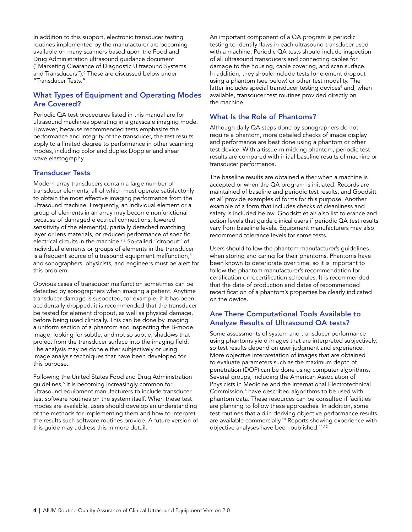In addition to this support, electronic transducer testing routines implemented by the manufacturer are becoming available on many scanners based upon the Food and Drug Administration ultrasound guidance document ("Marketing Clearance of Diagnostic Ultrasound Systems and Transducers").<sup>6</sup> These are discussed below under "Transducer Tests."

#### What Types of Equipment and Operating Modes Are Covered?

Periodic QA test procedures listed in this manual are for ultrasound machines operating in a grayscale imaging mode. However, because recommended tests emphasize the performance and integrity of the transducer, the test results apply to a limited degree to performance in other scanning modes, including color and duplex Doppler and shear wave elastography.

#### Transducer Tests

Modern array transducers contain a large number of transducer elements, all of which must operate satisfactorily to obtain the most effective imaging performance from the ultrasound machine. Frequently, an individual element or a group of elements in an array may become nonfunctional because of damaged electrical connections, lowered sensitivity of the element(s), partially detached matching layer or lens materials, or reduced performance of specific electrical circuits in the machine.<sup>7,8</sup> So-called "dropout" of individual elements or groups of elements in the transducer is a frequent source of ultrasound equipment malfunction,<sup>5</sup> and sonographers, physicists, and engineers must be alert for this problem.

Obvious cases of transducer malfunction sometimes can be detected by sonographers when imaging a patient. Anytime transducer damage is suspected, for example, if it has been accidentally dropped, it is recommended that the transducer be tested for element dropout, as well as physical damage, before being used clinically. This can be done by imaging a uniform section of a phantom and inspecting the B-mode image, looking for subtle, and not so subtle, shadows that project from the transducer surface into the imaging field. The analysis may be done either subjectively or using image analysis techniques that have been developed for this purpose.

Following the United States Food and Drug Administration guidelines,<sup>6</sup> it is becoming increasingly common for ultrasound equipment manufacturers to include transducer test software routines on the system itself. When these test modes are available, users should develop an understanding of the methods for implementing them and how to interpret the results such software routines provide. A future version of this guide may address this in more detail.

An important component of a QA program is periodic testing to identify flaws in each ultrasound transducer used with a machine. Periodic QA tests should include inspection of all ultrasound transducers and connecting cables for damage to the housing, cable covering, and scan surface. In addition, they should include tests for element dropout using a phantom (see below) or other test modality. The latter includes special transducer testing devices<sup>9</sup> and, when available, transducer test routines provided directly on the machine.

#### What Is the Role of Phantoms?

Although daily QA steps done by sonographers do not require a phantom, more detailed checks of image display and performance are best done using a phantom or other test device. With a tissue-mimicking phantom, periodic test results are compared with initial baseline results of machine or transducer performance.

The baseline results are obtained either when a machine is accepted or when the QA program is initiated. Records are maintained of baseline and periodic test results, and Goodsitt et al<sup>2</sup> provide examples of forms for this purpose. Another example of a form that includes checks of cleanliness and safety is included below. Goodsitt et al $^2$  also list tolerance and action levels that guide clinical users if periodic QA test results vary from baseline levels. Equipment manufacturers may also recommend tolerance levels for some tests.

Users should follow the phantom manufacturer's guidelines when storing and caring for their phantoms. Phantoms have been known to deteriorate over time, so it is important to follow the phantom manufacturer's recommendation for certification or recertification schedules. It is recommended that the date of production and dates of recommended recertification of a phantom's properties be clearly indicated on the device.

#### Are There Computational Tools Available to Analyze Results of Ultrasound QA tests?

Some assessments of system and transducer performance using phantoms yield images that are interpreted subjectively, so test results depend on user judgment and experience. More objective interpretation of images that are obtained to evaluate parameters such as the maximum depth of penetration (DOP) can be done using computer algorithms. Several groups, including the American Association of Physicists in Medicine and the International Electrotechnical Commission,4 have described algorithms to be used with phantom data. These resources can be consulted if facilities are planning to follow these approaches. In addition, some test routines that aid in deriving objective performance results are available commercially.<sup>10</sup> Reports showing experience with objective analyses have been published.11,12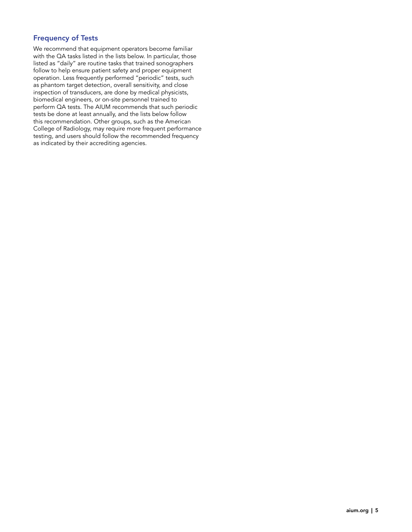#### Frequency of Tests

We recommend that equipment operators become familiar with the QA tasks listed in the lists below. In particular, those listed as "daily" are routine tasks that trained sonographers follow to help ensure patient safety and proper equipment operation. Less frequently performed "periodic" tests, such as phantom target detection, overall sensitivity, and close inspection of transducers, are done by medical physicists, biomedical engineers, or on-site personnel trained to perform QA tests. The AIUM recommends that such periodic tests be done at least annually, and the lists below follow this recommendation. Other groups, such as the American College of Radiology, may require more frequent performance testing, and users should follow the recommended frequency as indicated by their accrediting agencies.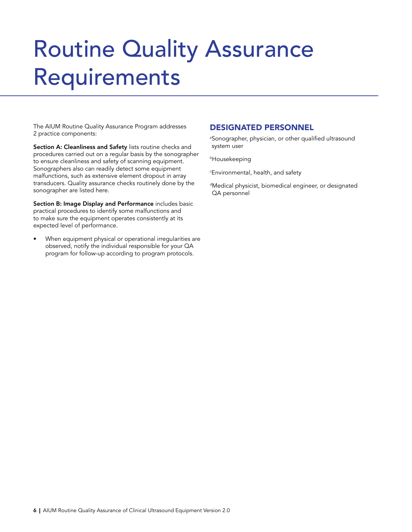## Routine Quality Assurance Requirements

The AIUM Routine Quality Assurance Program addresses 2 practice components:

Section A: Cleanliness and Safety lists routine checks and procedures carried out on a regular basis by the sonographer to ensure cleanliness and safety of scanning equipment. Sonographers also can readily detect some equipment malfunctions, such as extensive element dropout in array transducers. Quality assurance checks routinely done by the sonographer are listed here.

Section B: Image Display and Performance includes basic practical procedures to identify some malfunctions and to make sure the equipment operates consistently at its expected level of performance.

When equipment physical or operational irregularities are observed, notify the individual responsible for your QA program for follow-up according to program protocols.

#### DESIGNATED PERSONNEL

a Sonographer, physician, or other qualified ultrasound system user

bHousekeeping

 $^\mathrm{c}$ Environmental, health, and safety

dMedical physicist, biomedical engineer, or designated QA personnel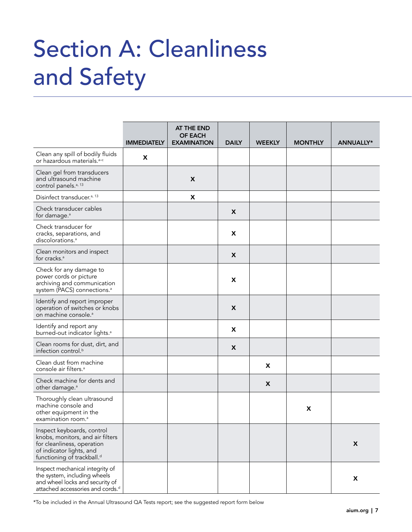## Section A: Cleanliness and Safety

|                                                                                                                                                                    | <b>IMMEDIATELY</b> | AT THE END<br><b>OF EACH</b><br><b>EXAMINATION</b> | <b>DAILY</b>              | <b>WEEKLY</b> | <b>MONTHLY</b> | <b>ANNUALLY*</b> |
|--------------------------------------------------------------------------------------------------------------------------------------------------------------------|--------------------|----------------------------------------------------|---------------------------|---------------|----------------|------------------|
| Clean any spill of bodily fluids<br>or hazardous materials. <sup>a-c</sup>                                                                                         | X                  |                                                    |                           |               |                |                  |
| Clean gel from transducers<br>and ultrasound machine<br>control panels. <sup>a, 13</sup>                                                                           |                    | X                                                  |                           |               |                |                  |
| Disinfect transducer. <sup>a, 13</sup>                                                                                                                             |                    | X                                                  |                           |               |                |                  |
| Check transducer cables<br>for damage. <sup>a</sup>                                                                                                                |                    |                                                    | $\boldsymbol{\mathsf{x}}$ |               |                |                  |
| Check transducer for<br>cracks, separations, and<br>discolorations. <sup>a</sup>                                                                                   |                    |                                                    | X                         |               |                |                  |
| Clean monitors and inspect<br>for cracks. <sup>a</sup>                                                                                                             |                    |                                                    | X                         |               |                |                  |
| Check for any damage to<br>power cords or picture<br>archiving and communication<br>system (PACS) connections. <sup>a</sup>                                        |                    |                                                    | X                         |               |                |                  |
| Identify and report improper<br>operation of switches or knobs<br>on machine console. <sup>a</sup>                                                                 |                    |                                                    | $\boldsymbol{\mathsf{x}}$ |               |                |                  |
| Identify and report any<br>burned-out indicator lights. <sup>a</sup>                                                                                               |                    |                                                    | X                         |               |                |                  |
| Clean rooms for dust, dirt, and<br>infection control. <sup>b</sup>                                                                                                 |                    |                                                    | X                         |               |                |                  |
| Clean dust from machine<br>console air filters. <sup>a</sup>                                                                                                       |                    |                                                    |                           | x             |                |                  |
| Check machine for dents and<br>other damage. <sup>a</sup>                                                                                                          |                    |                                                    |                           | X             |                |                  |
| Thoroughly clean ultrasound<br>machine console and<br>other equipment in the<br>examination room. <sup>a</sup>                                                     |                    |                                                    |                           |               | X              |                  |
| Inspect keyboards, control<br>knobs, monitors, and air filters<br>for cleanliness, operation<br>of indicator lights, and<br>functioning of trackball. <sup>d</sup> |                    |                                                    |                           |               |                | X                |
| Inspect mechanical integrity of<br>the system, including wheels<br>and wheel locks and security of<br>attached accessories and cords. <sup>d</sup>                 |                    |                                                    |                           |               |                | X                |

\*To be included in the Annual Ultrasound QA Tests report; see the suggested report form below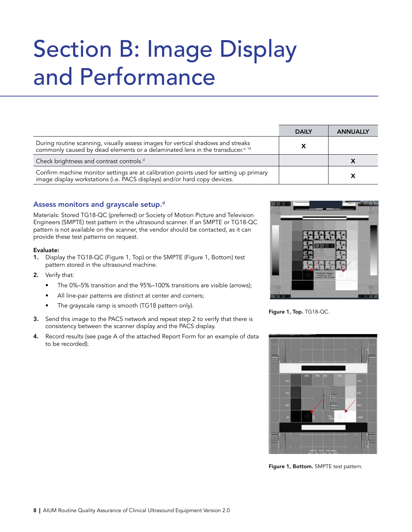## Section B: Image Display and Performance

|                                                                                                                                                                                | <b>DAILY</b> | <b>ANNUALLY</b> |
|--------------------------------------------------------------------------------------------------------------------------------------------------------------------------------|--------------|-----------------|
| During routine scanning, visually assess images for vertical shadows and streaks<br>commonly caused by dead elements or a delaminated lens in the transducer. <sup>a, 14</sup> |              |                 |
| Check brightness and contrast controls. <sup>d</sup>                                                                                                                           |              |                 |
| Confirm machine monitor settings are at calibration points used for setting up primary<br>image display workstations (i.e. PACS displays) and/or hard copy devices.            |              |                 |

#### Assess monitors and grayscale setup.<sup>d</sup>

Materials: Stored TG18-QC (preferred) or Society of Motion Picture and Television Engineers (SMPTE) test pattern in the ultrasound scanner. If an SMPTE or TG18-QC pattern is not available on the scanner, the vendor should be contacted, as it can provide these test patterns on request.

#### Evaluate:

- 1. Display the TG18-QC (Figure 1, Top) or the SMPTE (Figure 1, Bottom) test pattern stored in the ultrasound machine.
- 2. Verify that:
	- The 0%–5% transition and the 95%–100% transitions are visible (arrows);
	- All line-pair patterns are distinct at center and corners;
	- The grayscale ramp is smooth (TG18 pattern only).
- 3. Send this image to the PACS network and repeat step 2 to verify that there is consistency between the scanner display and the PACS display.
- 4. Record results (see page A of the attached Report Form for an example of data to be recorded).



Figure 1, Top. TG18-QC.



Figure 1, Bottom. SMPTE test pattern.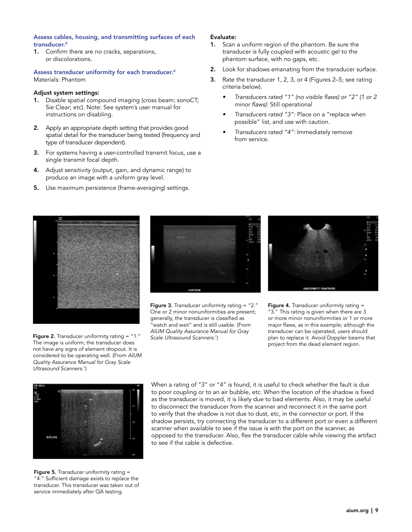#### Assess cables, housing, and transmitting surfaces of each transducer.<sup>d</sup>

1. Confirm there are no cracks, separations, or discolorations.

Assess transducer uniformity for each transducer.<sup>d</sup> Materials: Phantom

#### Adjust system settings:

- 1. Disable spatial compound imaging (cross beam; sonoCT; Sie Clear; etc). Note: See system's user manual for instructions on disabling.
- 2. Apply an appropriate depth setting that provides good spatial detail for the transducer being tested (frequency and type of transducer dependent).
- 3. For systems having a user-controlled transmit focus, use a single transmit focal depth.
- 4. Adjust sensitivity (output, gain, and dynamic range) to produce an image with a uniform gray level.
- 5. Use maximum persistence (frame-averaging) settings.

#### Evaluate:

- 1. Scan a uniform region of the phantom. Be sure the transducer is fully coupled with acoustic gel to the phantom surface, with no gaps, etc.
- 2. Look for shadows emanating from the transducer surface.
- 3. Rate the transducer 1, 2, 3, or 4 (Figures 2–5; see rating criteria below).
	- *•* Transducers rated "1" (no visible flaws) or "2" (1 or 2 minor flaws): Still operational
	- *•* Transducers rated "3": Place on a "replace when possible" list, and use with caution.
	- *•* Transducers rated "4": Immediately remove from service.









Figure 3. Transducer uniformity rating = "2." One or 2 minor nonuniformities are present; generally, the transducer is classified as "watch and wait" and is still usable. (From *AIUM Quality Assurance Manual for Gray Scale Ultrasound Scanners*. 1 )



Figure 4. Transducer uniformity rating = "3." This rating is given when there are 3 or more minor nonuniformities or 1 or more major flaws, as in this example; although the transducer can be operated, users should plan to replace it. Avoid Doppler beams that project from the dead element region.



Figure 5. Transducer uniformity rating = "4." Sufficient damage exists to replace the transducer. This transducer was taken out of service immediately after QA testing.

When a rating of "3" or "4" is found, it is useful to check whether the fault is due to poor coupling or to an air bubble, etc. When the location of the shadow is fixed as the transducer is moved, it is likely due to bad elements. Also, it may be useful to disconnect the transducer from the scanner and reconnect it in the same port to verify that the shadow is not due to dust, etc, in the connector or port. If the shadow persists, try connecting the transducer to a different port or even a different scanner when available to see if the issue is with the port on the scanner, as opposed to the transducer. Also, flex the transducer cable while viewing the artifact to see if the cable is defective.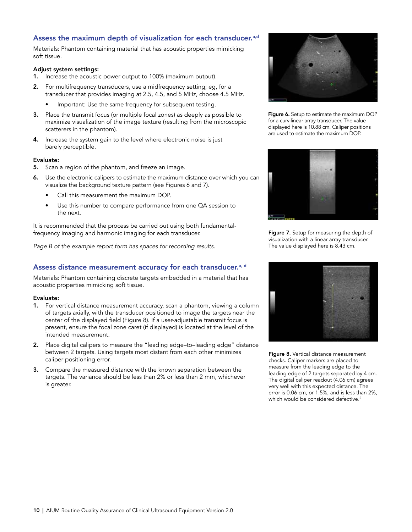#### Assess the maximum depth of visualization for each transducer.<sup>a,d</sup>

Materials: Phantom containing material that has acoustic properties mimicking soft tissue.

#### Adjust system settings:

- 1. Increase the acoustic power output to 100% (maximum output).
- 2. For multifrequency transducers, use a midfrequency setting; eg, for a transducer that provides imaging at 2.5, 4.5, and 5 MHz, choose 4.5 MHz.
	- Important: Use the same frequency for subsequent testing.
- 3. Place the transmit focus (or multiple focal zones) as deeply as possible to maximize visualization of the image texture (resulting from the microscopic scatterers in the phantom).
- 4. Increase the system gain to the level where electronic noise is just barely perceptible.

#### Evaluate:

- 5. Scan a region of the phantom, and freeze an image.
- 6. Use the electronic calipers to estimate the maximum distance over which you can visualize the background texture pattern (see Figures 6 and 7).
	- Call this measurement the maximum DOP.
	- Use this number to compare performance from one QA session to the next.

It is recommended that the process be carried out using both fundamentalfrequency imaging and harmonic imaging for each transducer.

*Page B of the example report form has spaces for recording results.*

#### Assess distance measurement accuracy for each transducer.<sup>a, d</sup>

Materials: Phantom containing discrete targets embedded in a material that has acoustic properties mimicking soft tissue.

#### Evaluate:

- 1. For vertical distance measurement accuracy, scan a phantom, viewing a column of targets axially, with the transducer positioned to image the targets near the center of the displayed field (Figure 8). If a user-adjustable transmit focus is present, ensure the focal zone caret (if displayed) is located at the level of the intended measurement.
- 2. Place digital calipers to measure the "leading edge–to–leading edge" distance between 2 targets. Using targets most distant from each other minimizes caliper positioning error.
- 3. Compare the measured distance with the known separation between the targets. The variance should be less than 2% or less than 2 mm, whichever is greater.



Figure 6. Setup to estimate the maximum DOP for a curvilinear array transducer. The value displayed here is 10.88 cm. Caliper positions are used to estimate the maximum DOP.



Figure 7. Setup for measuring the depth of visualization with a linear array transducer. The value displayed here is 8.43 cm.



Figure 8. Vertical distance measurement checks. Caliper markers are placed to measure from the leading edge to the leading edge of 2 targets separated by 4 cm. The digital caliper readout (4.06 cm) agrees very well with this expected distance. The error is 0.06 cm, or 1.5%, and is less than 2%, which would be considered defective.<sup>2</sup>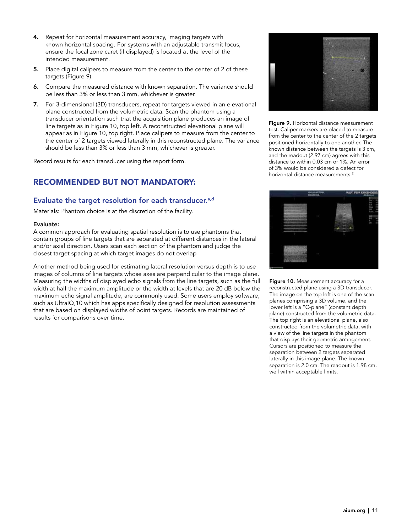- 4. Repeat for horizontal measurement accuracy, imaging targets with known horizontal spacing. For systems with an adjustable transmit focus, ensure the focal zone caret (if displayed) is located at the level of the intended measurement.
- 5. Place digital calipers to measure from the center to the center of 2 of these targets (Figure 9).
- 6. Compare the measured distance with known separation. The variance should be less than 3% or less than 3 mm, whichever is greater.
- 7. For 3-dimensional (3D) transducers, repeat for targets viewed in an elevational plane constructed from the volumetric data. Scan the phantom using a transducer orientation such that the acquisition plane produces an image of line targets as in Figure 10, top left. A reconstructed elevational plane will appear as in Figure 10, top right. Place calipers to measure from the center to the center of 2 targets viewed laterally in this reconstructed plane. The variance should be less than 3% or less than 3 mm, whichever is greater.

Record results for each transducer using the report form.

#### RECOMMENDED BUT NOT MANDATORY:

#### Evaluate the target resolution for each transducer.<sup>a,d</sup>

Materials: Phantom choice is at the discretion of the facility.

#### Evaluate:

A common approach for evaluating spatial resolution is to use phantoms that contain groups of line targets that are separated at different distances in the lateral and/or axial direction. Users scan each section of the phantom and judge the closest target spacing at which target images do not overlap

Another method being used for estimating lateral resolution versus depth is to use images of columns of line targets whose axes are perpendicular to the image plane. Measuring the widths of displayed echo signals from the line targets, such as the full width at half the maximum amplitude or the width at levels that are 20 dB below the maximum echo signal amplitude, are commonly used. Some users employ software, such as UltraIQ,10 which has apps specifically designed for resolution assessments that are based on displayed widths of point targets. Records are maintained of results for comparisons over time.



Figure 9. Horizontal distance measurement test. Caliper markers are placed to measure from the center to the center of the 2 targets positioned horizontally to one another. The known distance between the targets is 3 cm, and the readout (2.97 cm) agrees with this distance to within 0.03 cm or 1%. An error of 3% would be considered a defect for horizontal distance measurements.<sup>2</sup>



Figure 10. Measurement accuracy for a reconstructed plane using a 3D transducer. The image on the top left is one of the scan planes comprising a 3D volume, and the lower left is a "C-plane" (constant depth plane) constructed from the volumetric data. The top right is an elevational plane, also constructed from the volumetric data, with a view of the line targets in the phantom that displays their geometric arrangement. Cursors are positioned to measure the separation between 2 targets separated laterally in this image plane. The known separation is 2.0 cm. The readout is 1.98 cm, well within acceptable limits.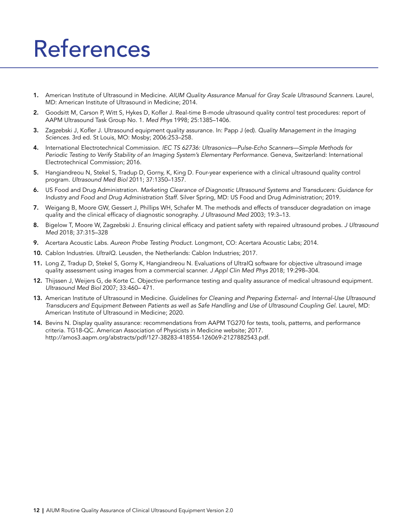### References

- 1. American Institute of Ultrasound in Medicine. *AIUM Quality Assurance Manual for Gray Scale Ultrasound Scanners*. Laurel, MD: American Institute of Ultrasound in Medicine; 2014.
- 2. Goodsitt M, Carson P, Witt S, Hykes D, Kofler J. Real-time B-mode ultrasound quality control test procedures: report of AAPM Ultrasound Task Group No. 1. *Med Phys* 1998; 25:1385–1406.
- 3. Zagzebski J, Kofler J. Ultrasound equipment quality assurance. In: Papp J (ed). *Quality Management in the Imaging Sciences.* 3rd ed. St Louis, MO: Mosby; 2006:253–258.
- 4. International Electrotechnical Commission. IEC TS 62736: Ultrasonics—Pulse-Echo Scanners—Simple Methods for *Periodic Testing to Verify Stability of an Imaging System's Elementary Performance.* Geneva, Switzerland: International Electrotechnical Commission; 2016.
- 5. Hangiandreou N, Stekel S, Tradup D, Gorny, K, King D. Four-year experience with a clinical ultrasound quality control program. *Ultrasound Med Biol* 2011; 37:1350–1357.
- 6. US Food and Drug Administration. Marketing Clearance of Diagnostic Ultrasound Systems and Transducers: Guidance for *Industry and Food and Drug Administration Staff.* Silver Spring, MD: US Food and Drug Administration; 2019.
- 7. Weigang B, Moore GW, Gessert J, Phillips WH, Schafer M. The methods and effects of transducer degradation on image quality and the clinical efficacy of diagnostic sonography. *J Ultrasound Med* 2003; 19:3–13.
- 8. Bigelow T, Moore W, Zagzebski J. Ensuring clinical efficacy and patient safety with repaired ultrasound probes. *J Ultrasound Med* 2018; 37:315–328
- 9. Acertara Acoustic Labs. *Aureon Probe Testing Product.* Longmont, CO: Acertara Acoustic Labs; 2014.
- 10. Cablon Industries. *UltraIQ.* Leusden, the Netherlands: Cablon Industries; 2017.
- 11. Long Z, Tradup D, Stekel S, Gorny K, Hangiandreou N. Evaluations of UltraIQ software for objective ultrasound image quality assessment using images from a commercial scanner. *J Appl Clin Med Phys* 2018; 19:298–304.
- 12. Thijssen J, Weijers G, de Korte C. Objective performance testing and quality assurance of medical ultrasound equipment. *Ultrasound Med Biol* 2007; 33:460– 471.
- 13. American Institute of Ultrasound in Medicine. Guidelines for Cleaning and Preparing External- and Internal-Use Ultrasound Transducers and Equipment Between Patients as well as Safe Handling and Use of Ultrasound Coupling Gel. Laurel, MD: American Institute of Ultrasound in Medicine; 2020.
- 14. Bevins N. Display quality assurance: recommendations from AAPM TG270 for tests, tools, patterns, and performance criteria. TG18-QC. American Association of Physicists in Medicine website; 2017. http://amos3.aapm.org/abstracts/pdf/127-38283-418554-126069-2127882543.pdf.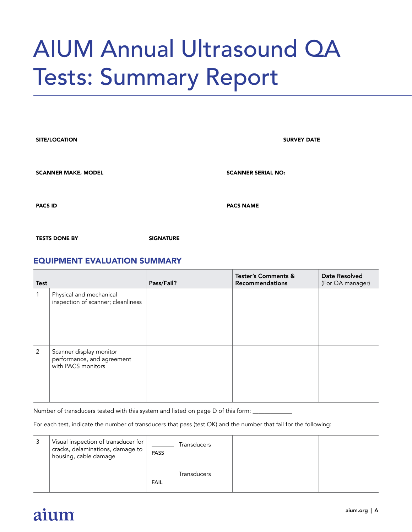## AIUM Annual Ultrasound QA Tests: Summary Report

| <b>SITE/LOCATION</b>       |                  | <b>SURVEY DATE</b>        |  |  |  |  |
|----------------------------|------------------|---------------------------|--|--|--|--|
| <b>SCANNER MAKE, MODEL</b> |                  | <b>SCANNER SERIAL NO:</b> |  |  |  |  |
| <b>PACS ID</b>             |                  | <b>PACS NAME</b>          |  |  |  |  |
| <b>TESTS DONE BY</b>       | <b>SIGNATURE</b> |                           |  |  |  |  |

#### EQUIPMENT EVALUATION SUMMARY

| <b>Test</b> |                                                                             | Pass/Fail? | <b>Tester's Comments &amp;</b><br><b>Recommendations</b> | Date Resolved<br>(For QA manager) |
|-------------|-----------------------------------------------------------------------------|------------|----------------------------------------------------------|-----------------------------------|
|             | Physical and mechanical<br>inspection of scanner; cleanliness               |            |                                                          |                                   |
| 2           | Scanner display monitor<br>performance, and agreement<br>with PACS monitors |            |                                                          |                                   |

Number of transducers tested with this system and listed on page D of this form: \_\_\_\_\_\_\_\_\_\_\_\_\_\_\_\_\_\_\_\_\_\_\_\_\_\_\_\_\_

For each test, indicate the number of transducers that pass (test OK) and the number that fail for the following:

| Visual inspection of transducer for<br>cracks, delaminations, damage to<br>housing, cable damage | PASS        | Transducers |  |
|--------------------------------------------------------------------------------------------------|-------------|-------------|--|
|                                                                                                  | <b>FAIL</b> | Transducers |  |

### aium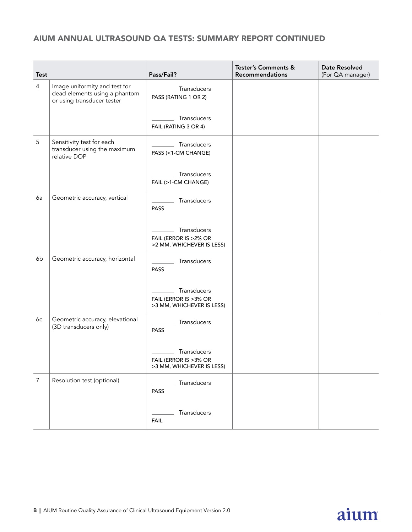#### AIUM ANNUAL ULTRASOUND QA TESTS: SUMMARY REPORT CONTINUED

| <b>Test</b>    |                                                                                              | Pass/Fail?                                                         | <b>Tester's Comments &amp;</b><br><b>Recommendations</b> | Date Resolved<br>(For QA manager) |
|----------------|----------------------------------------------------------------------------------------------|--------------------------------------------------------------------|----------------------------------------------------------|-----------------------------------|
| $\overline{4}$ | Image uniformity and test for<br>dead elements using a phantom<br>or using transducer tester | Transducers<br>PASS (RATING 1 OR 2)                                |                                                          |                                   |
|                |                                                                                              | Transducers<br>FAIL (RATING 3 OR 4)                                |                                                          |                                   |
| 5              | Sensitivity test for each<br>transducer using the maximum<br>relative DOP                    | Transducers<br>PASS (<1-CM CHANGE)                                 |                                                          |                                   |
|                |                                                                                              | Transducers<br>FAIL (>1-CM CHANGE)                                 |                                                          |                                   |
| 6a             | Geometric accuracy, vertical                                                                 | Transducers<br>PASS                                                |                                                          |                                   |
|                |                                                                                              | Transducers<br>FAIL (ERROR IS >2% OR<br>>2 MM, WHICHEVER IS LESS)  |                                                          |                                   |
| 6b             | Geometric accuracy, horizontal                                                               | Transducers<br>PASS                                                |                                                          |                                   |
|                |                                                                                              | Transducers<br>FAIL (ERROR IS > 3% OR<br>>3 MM, WHICHEVER IS LESS) |                                                          |                                   |
| 6с             | Geometric accuracy, elevational<br>(3D transducers only)                                     | Transducers<br>PASS                                                |                                                          |                                   |
|                |                                                                                              | Transducers<br>FAIL (ERROR IS >3% OR<br>>3 MM, WHICHEVER IS LESS)  |                                                          |                                   |
| 7              | Resolution test (optional)                                                                   | Transducers<br>PASS                                                |                                                          |                                   |
|                |                                                                                              | Transducers<br><b>FAIL</b>                                         |                                                          |                                   |

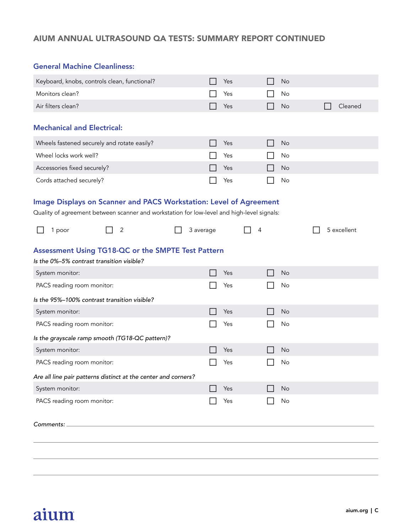#### AIUM ANNUAL ULTRASOUND QA TESTS: SUMMARY REPORT CONTINUED

#### General Machine Cleanliness:

| Keyboard, knobs, controls clean, functional?                                                                                                                     |   |           | Yes |   | No        |             |
|------------------------------------------------------------------------------------------------------------------------------------------------------------------|---|-----------|-----|---|-----------|-------------|
| Monitors clean?                                                                                                                                                  |   |           | Yes |   | No        |             |
| Air filters clean?                                                                                                                                               |   |           | Yes |   | No        | Cleaned     |
| <b>Mechanical and Electrical:</b>                                                                                                                                |   |           |     |   |           |             |
| Wheels fastened securely and rotate easily?                                                                                                                      |   |           | Yes |   | No        |             |
| Wheel locks work well?                                                                                                                                           |   |           | Yes |   | No        |             |
| Accessories fixed securely?                                                                                                                                      |   |           | Yes |   | <b>No</b> |             |
| Cords attached securely?                                                                                                                                         |   |           | Yes |   | No        |             |
| Image Displays on Scanner and PACS Workstation: Level of Agreement<br>Quality of agreement between scanner and workstation for low-level and high-level signals: |   |           |     |   |           |             |
| 1 poor                                                                                                                                                           | 2 | 3 average |     | 4 |           | 5 excellent |
| Assessment Using TG18-QC or the SMPTE Test Pattern<br>Is the 0%-5% contrast transition visible?                                                                  |   |           |     |   |           |             |
| System monitor:                                                                                                                                                  |   |           | Yes |   | <b>No</b> |             |
| PACS reading room monitor:                                                                                                                                       |   |           | Yes |   | No        |             |
| Is the 95%-100% contrast transition visible?                                                                                                                     |   |           |     |   |           |             |
| System monitor:                                                                                                                                                  |   |           | Yes |   | No        |             |
| PACS reading room monitor:                                                                                                                                       |   |           | Yes |   | No        |             |
| Is the grayscale ramp smooth (TG18-QC pattern)?                                                                                                                  |   |           |     |   |           |             |
| System monitor:                                                                                                                                                  |   |           | Yes |   | No        |             |
| PACS reading room monitor:                                                                                                                                       |   |           | Yes |   | No        |             |
| Are all line pair patterns distinct at the center and corners?                                                                                                   |   |           |     |   |           |             |
| System monitor:                                                                                                                                                  |   |           | Yes |   | No        |             |
| PACS reading room monitor:                                                                                                                                       |   |           | Yes |   | No        |             |
| Comments:                                                                                                                                                        |   |           |     |   |           |             |
|                                                                                                                                                                  |   |           |     |   |           |             |
|                                                                                                                                                                  |   |           |     |   |           |             |

### aium